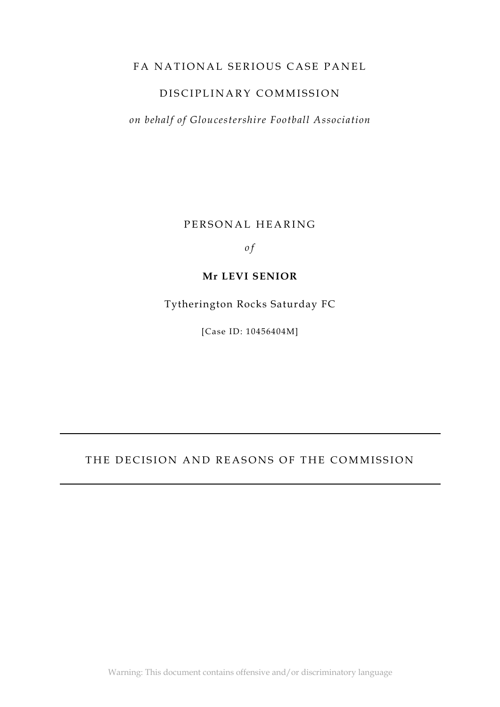#### FA NATIONAL SERIOUS CASE PANEL

### DISCIPLINARY COMMISSION

*on behalf of Gloucestershire Football Association*

PERSONAL HEARING

*o f*

#### **Mr LEVI SENIOR**

Tytherington Rocks Saturday FC

[Case ID: 10456404M]

#### THE DECISION AND REASONS OF THE COMMISSION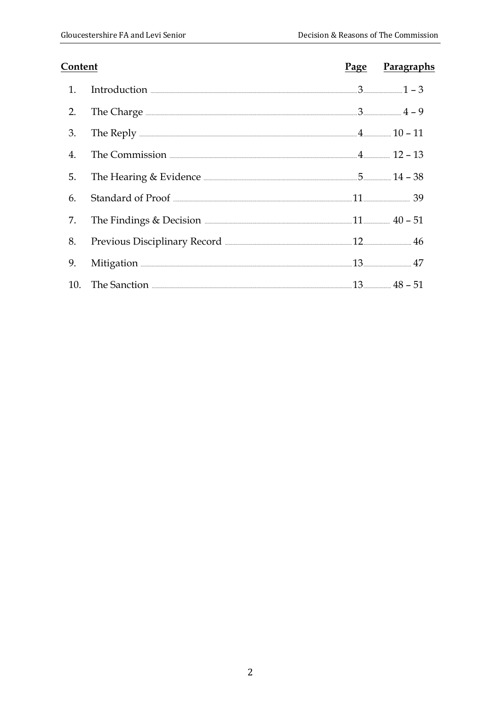| Content          |                                                                | Page Paragraphs |
|------------------|----------------------------------------------------------------|-----------------|
| 1.               | Introduction $\frac{1}{2} - 3$                                 |                 |
| 2.               | The Charge $\frac{1}{4} - 9$                                   |                 |
| 3.               |                                                                |                 |
| $\overline{4}$ . | The Commission $\frac{4}{12} - 13$                             |                 |
| 5.               |                                                                |                 |
| 6.               |                                                                |                 |
| 7.               | The Findings & Decision $\frac{11}{200}$ 40 - 51               |                 |
| 8.               | Previous Disciplinary Record <b>Manual Accord 22 Accord</b> 46 |                 |
| 9.               | Mitigation 27 Alimeter 2014                                    |                 |
|                  |                                                                |                 |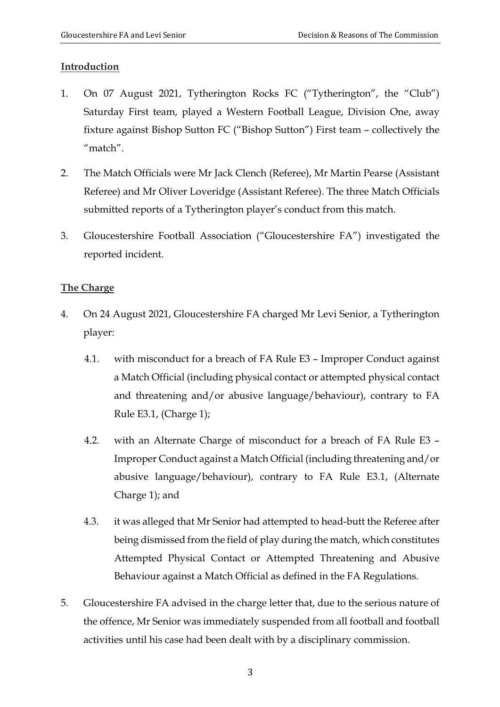### **Introduction**

- 1. On 07 August 2021, Tytherington Rocks FC ("Tytherington", the "Club") Saturday First team, played a Western Football League, Division One, away fixture against Bishop Sutton FC ("Bishop Sutton") First team – collectively the "match".
- 2. The Match Officials were Mr Jack Clench (Referee), Mr Martin Pearse (Assistant Referee) and Mr Oliver Loveridge (Assistant Referee). The three Match Officials submitted reports of a Tytherington player's conduct from this match.
- 3. Gloucestershire Football Association ("Gloucestershire FA") investigated the reported incident.

### **The Charge**

- 4. On 24 August 2021, Gloucestershire FA charged Mr Levi Senior, a Tytherington player:
	- 4.1. with misconduct for a breach of FA Rule E3 Improper Conduct against a Match Official (including physical contact or attempted physical contact and threatening and/or abusive language/behaviour), contrary to FA Rule E3.1, (Charge 1);
	- 4.2. with an Alternate Charge of misconduct for a breach of FA Rule E3 Improper Conduct against a Match Official (including threatening and/or abusive language/behaviour), contrary to FA Rule E3.1, (Alternate Charge 1); and
	- 4.3. it was alleged that Mr Senior had attempted to head-butt the Referee after being dismissed from the field of play during the match, which constitutes Attempted Physical Contact or Attempted Threatening and Abusive Behaviour against a Match Official as defined in the FA Regulations.
- 5. Gloucestershire FA advised in the charge letter that, due to the serious nature of the offence, Mr Senior was immediately suspended from all football and football activities until his case had been dealt with by a disciplinary commission.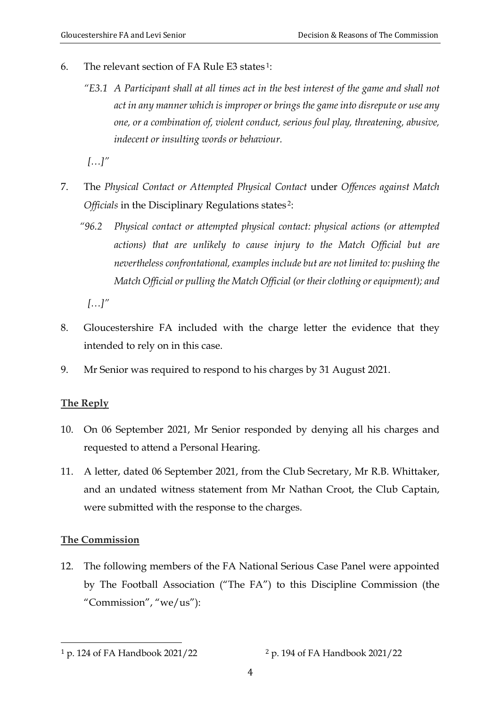- 6. The relevant section of FA Rule E3 states 1:
	- *"E3.1 A Participant shall at all times act in the best interest of the game and shall not act in any manner which is improper or brings the game into disrepute or use any one, or a combination of, violent conduct, serious foul play, threatening, abusive, indecent or insulting words or behaviour.*

*[…]"*

- 7. The *Physical Contact or Attempted Physical Contact* under *Offences against Match Officials* in the Disciplinary Regulations states 2:
	- *"96.2 Physical contact or attempted physical contact: physical actions (or attempted actions) that are unlikely to cause injury to the Match Official but are nevertheless confrontational, examples include but are not limited to: pushing the Match Official or pulling the Match Official (or their clothing or equipment); and*

*[…]"*

- 8. Gloucestershire FA included with the charge letter the evidence that they intended to rely on in this case.
- 9. Mr Senior was required to respond to his charges by 31 August 2021.

### **The Reply**

- 10. On 06 September 2021, Mr Senior responded by denying all his charges and requested to attend a Personal Hearing.
- 11. A letter, dated 06 September 2021, from the Club Secretary, Mr R.B. Whittaker, and an undated witness statement from Mr Nathan Croot, the Club Captain, were submitted with the response to the charges.

### **The Commission**

12. The following members of the FA National Serious Case Panel were appointed by The Football Association ("The FA") to this Discipline Commission (the "Commission", "we/us"):

<sup>&</sup>lt;sup>1</sup> p. 124 of FA Handbook 2021/22 <sup>2</sup> p. 194 of FA Handbook 2021/22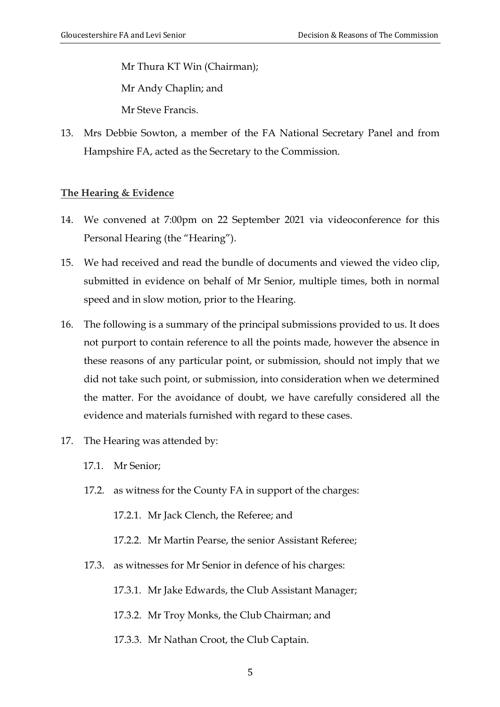Mr Thura KT Win (Chairman); Mr Andy Chaplin; and Mr Steve Francis.

13. Mrs Debbie Sowton, a member of the FA National Secretary Panel and from Hampshire FA, acted as the Secretary to the Commission.

#### **The Hearing & Evidence**

- 14. We convened at 7:00pm on 22 September 2021 via videoconference for this Personal Hearing (the "Hearing").
- 15. We had received and read the bundle of documents and viewed the video clip, submitted in evidence on behalf of Mr Senior, multiple times, both in normal speed and in slow motion, prior to the Hearing.
- 16. The following is a summary of the principal submissions provided to us. It does not purport to contain reference to all the points made, however the absence in these reasons of any particular point, or submission, should not imply that we did not take such point, or submission, into consideration when we determined the matter. For the avoidance of doubt, we have carefully considered all the evidence and materials furnished with regard to these cases.
- 17. The Hearing was attended by:
	- 17.1. Mr Senior;
	- 17.2. as witness for the County FA in support of the charges:

17.2.1. Mr Jack Clench, the Referee; and

- 17.2.2. Mr Martin Pearse, the senior Assistant Referee;
- 17.3. as witnesses for Mr Senior in defence of his charges:

17.3.1. Mr Jake Edwards, the Club Assistant Manager;

- 17.3.2. Mr Troy Monks, the Club Chairman; and
- 17.3.3. Mr Nathan Croot, the Club Captain.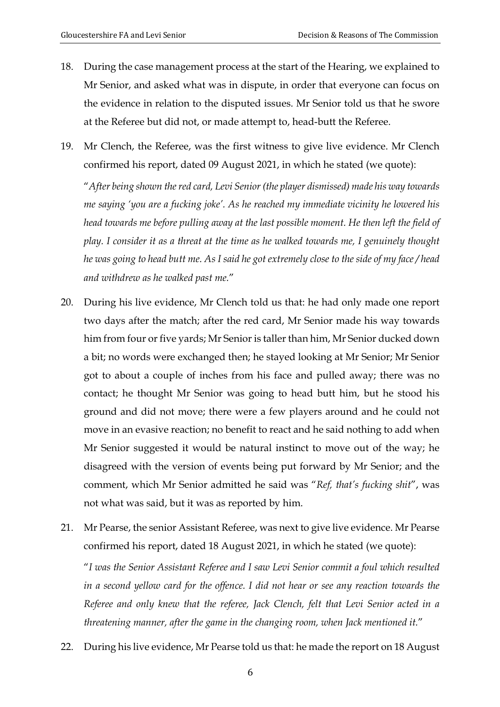- 18. During the case management process at the start of the Hearing, we explained to Mr Senior, and asked what was in dispute, in order that everyone can focus on the evidence in relation to the disputed issues. Mr Senior told us that he swore at the Referee but did not, or made attempt to, head-butt the Referee.
- 19. Mr Clench, the Referee, was the first witness to give live evidence. Mr Clench confirmed his report, dated 09 August 2021, in which he stated (we quote):

"*After being shown the red card, Levi Senior (the player dismissed) made his way towards me saying 'you are a fucking joke'. As he reached my immediate vicinity he lowered his head towards me before pulling away at the last possible moment. He then left the field of play. I consider it as a threat at the time as he walked towards me, I genuinely thought he was going to head butt me. As I said he got extremely close to the side of my face / head and withdrew as he walked past me.*"

- 20. During his live evidence, Mr Clench told us that: he had only made one report two days after the match; after the red card, Mr Senior made his way towards him from four or five yards; Mr Senior is taller than him, Mr Senior ducked down a bit; no words were exchanged then; he stayed looking at Mr Senior; Mr Senior got to about a couple of inches from his face and pulled away; there was no contact; he thought Mr Senior was going to head butt him, but he stood his ground and did not move; there were a few players around and he could not move in an evasive reaction; no benefit to react and he said nothing to add when Mr Senior suggested it would be natural instinct to move out of the way; he disagreed with the version of events being put forward by Mr Senior; and the comment, which Mr Senior admitted he said was "*Ref, that's fucking shit*", was not what was said, but it was as reported by him.
- 21. Mr Pearse, the senior Assistant Referee, was next to give live evidence. Mr Pearse confirmed his report, dated 18 August 2021, in which he stated (we quote):

"*I was the Senior Assistant Referee and I saw Levi Senior commit a foul which resulted in a second yellow card for the offence. I did not hear or see any reaction towards the Referee and only knew that the referee, Jack Clench, felt that Levi Senior acted in a threatening manner, after the game in the changing room, when Jack mentioned it.*"

22. During his live evidence, Mr Pearse told us that: he made the report on 18 August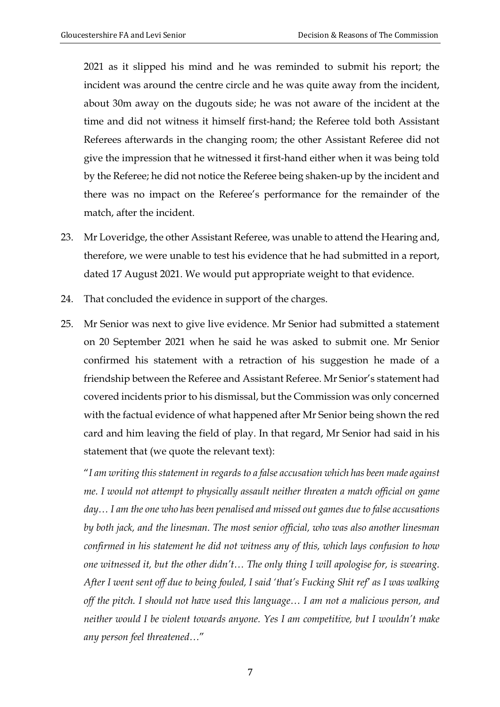2021 as it slipped his mind and he was reminded to submit his report; the incident was around the centre circle and he was quite away from the incident, about 30m away on the dugouts side; he was not aware of the incident at the time and did not witness it himself first-hand; the Referee told both Assistant Referees afterwards in the changing room; the other Assistant Referee did not give the impression that he witnessed it first-hand either when it was being told by the Referee; he did not notice the Referee being shaken-up by the incident and there was no impact on the Referee's performance for the remainder of the match, after the incident.

- 23. Mr Loveridge, the other Assistant Referee, was unable to attend the Hearing and, therefore, we were unable to test his evidence that he had submitted in a report, dated 17 August 2021. We would put appropriate weight to that evidence.
- 24. That concluded the evidence in support of the charges.
- 25. Mr Senior was next to give live evidence. Mr Senior had submitted a statement on 20 September 2021 when he said he was asked to submit one. Mr Senior confirmed his statement with a retraction of his suggestion he made of a friendship between the Referee and Assistant Referee. Mr Senior's statement had covered incidents prior to his dismissal, but the Commission was only concerned with the factual evidence of what happened after Mr Senior being shown the red card and him leaving the field of play. In that regard, Mr Senior had said in his statement that (we quote the relevant text):

"*I am writing this statement in regards to a false accusation which has been made against me. I would not attempt to physically assault neither threaten a match official on game day… I am the one who has been penalised and missed out games due to false accusations by both jack, and the linesman. The most senior official, who was also another linesman confirmed in his statement he did not witness any of this, which lays confusion to how one witnessed it, but the other didn't… The only thing I will apologise for, is swearing. After I went sent off due to being fouled, I said 'that's Fucking Shit ref' as I was walking off the pitch. I should not have used this language… I am not a malicious person, and neither would I be violent towards anyone. Yes I am competitive, but I wouldn't make any person feel threatened…*"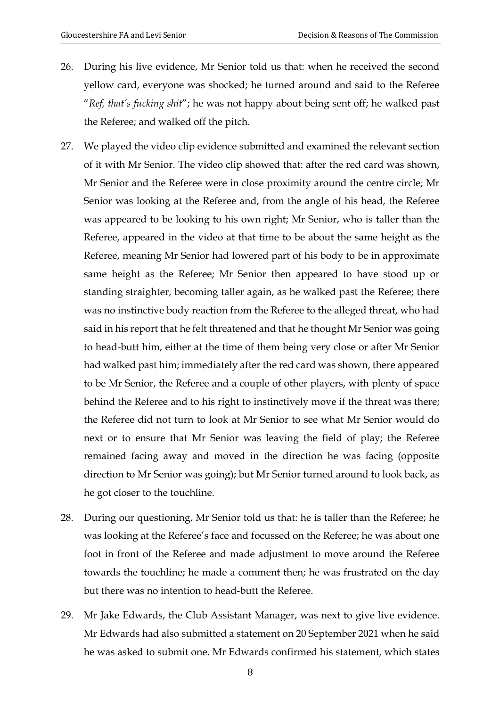- 26. During his live evidence, Mr Senior told us that: when he received the second yellow card, everyone was shocked; he turned around and said to the Referee "*Ref, that's fucking shit*"; he was not happy about being sent off; he walked past the Referee; and walked off the pitch.
- 27. We played the video clip evidence submitted and examined the relevant section of it with Mr Senior. The video clip showed that: after the red card was shown, Mr Senior and the Referee were in close proximity around the centre circle; Mr Senior was looking at the Referee and, from the angle of his head, the Referee was appeared to be looking to his own right; Mr Senior, who is taller than the Referee, appeared in the video at that time to be about the same height as the Referee, meaning Mr Senior had lowered part of his body to be in approximate same height as the Referee; Mr Senior then appeared to have stood up or standing straighter, becoming taller again, as he walked past the Referee; there was no instinctive body reaction from the Referee to the alleged threat, who had said in his report that he felt threatened and that he thought Mr Senior was going to head-butt him, either at the time of them being very close or after Mr Senior had walked past him; immediately after the red card was shown, there appeared to be Mr Senior, the Referee and a couple of other players, with plenty of space behind the Referee and to his right to instinctively move if the threat was there; the Referee did not turn to look at Mr Senior to see what Mr Senior would do next or to ensure that Mr Senior was leaving the field of play; the Referee remained facing away and moved in the direction he was facing (opposite direction to Mr Senior was going); but Mr Senior turned around to look back, as he got closer to the touchline.
- 28. During our questioning, Mr Senior told us that: he is taller than the Referee; he was looking at the Referee's face and focussed on the Referee; he was about one foot in front of the Referee and made adjustment to move around the Referee towards the touchline; he made a comment then; he was frustrated on the day but there was no intention to head-butt the Referee.
- 29. Mr Jake Edwards, the Club Assistant Manager, was next to give live evidence. Mr Edwards had also submitted a statement on 20 September 2021 when he said he was asked to submit one. Mr Edwards confirmed his statement, which states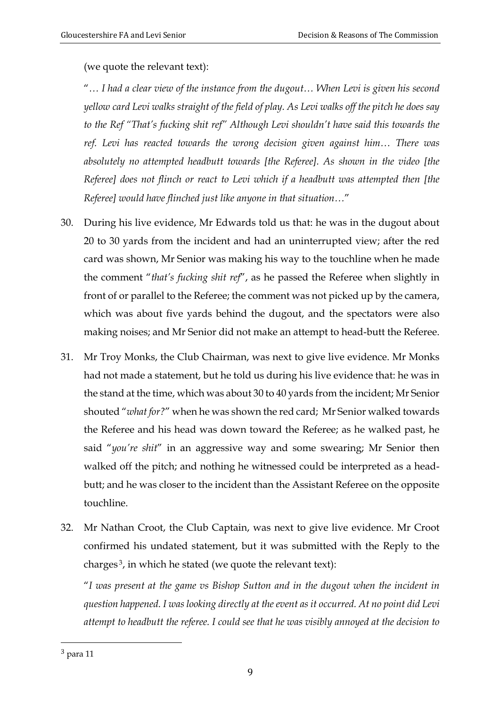(we quote the relevant text):

"*… I had a clear view of the instance from the dugout… When Levi is given his second yellow card Levi walks straight of the field of play. As Levi walks off the pitch he does say to the Ref "That's fucking shit ref" Although Levi shouldn't have said this towards the ref. Levi has reacted towards the wrong decision given against him… There was absolutely no attempted headbutt towards [the Referee]. As shown in the video [the Referee] does not flinch or react to Levi which if a headbutt was attempted then [the Referee] would have flinched just like anyone in that situation…*"

- 30. During his live evidence, Mr Edwards told us that: he was in the dugout about 20 to 30 yards from the incident and had an uninterrupted view; after the red card was shown, Mr Senior was making his way to the touchline when he made the comment "*that's fucking shit ref*", as he passed the Referee when slightly in front of or parallel to the Referee; the comment was not picked up by the camera, which was about five yards behind the dugout, and the spectators were also making noises; and Mr Senior did not make an attempt to head-butt the Referee.
- 31. Mr Troy Monks, the Club Chairman, was next to give live evidence. Mr Monks had not made a statement, but he told us during his live evidence that: he was in the stand at the time, which was about 30 to 40 yards from the incident; Mr Senior shouted "*what for?*" when he was shown the red card; Mr Senior walked towards the Referee and his head was down toward the Referee; as he walked past, he said "*you're shit*" in an aggressive way and some swearing; Mr Senior then walked off the pitch; and nothing he witnessed could be interpreted as a headbutt; and he was closer to the incident than the Assistant Referee on the opposite touchline.
- 32. Mr Nathan Croot, the Club Captain, was next to give live evidence. Mr Croot confirmed his undated statement, but it was submitted with the Reply to the charges 3, in which he stated (we quote the relevant text):

"*I was present at the game vs Bishop Sutton and in the dugout when the incident in question happened. I was looking directly at the event as it occurred. At no point did Levi attempt to headbutt the referee. I could see that he was visibly annoyed at the decision to* 

<sup>3</sup> para 11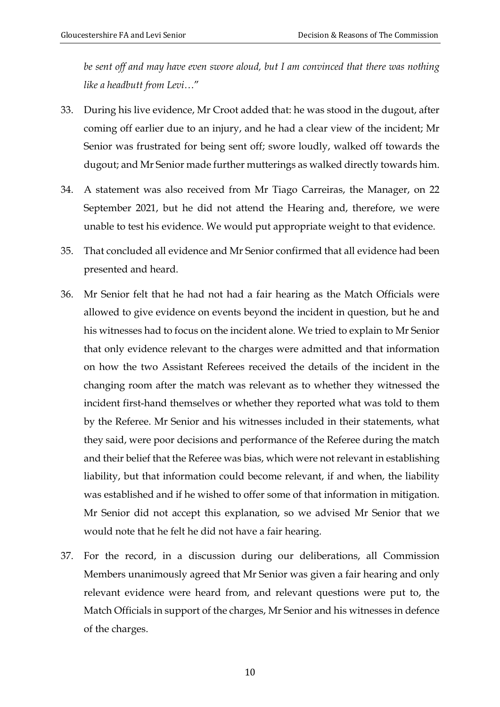*be sent off and may have even swore aloud, but I am convinced that there was nothing like a headbutt from Levi…*"

- 33. During his live evidence, Mr Croot added that: he was stood in the dugout, after coming off earlier due to an injury, and he had a clear view of the incident; Mr Senior was frustrated for being sent off; swore loudly, walked off towards the dugout; and Mr Senior made further mutterings as walked directly towards him.
- 34. A statement was also received from Mr Tiago Carreiras, the Manager, on 22 September 2021, but he did not attend the Hearing and, therefore, we were unable to test his evidence. We would put appropriate weight to that evidence.
- 35. That concluded all evidence and Mr Senior confirmed that all evidence had been presented and heard.
- 36. Mr Senior felt that he had not had a fair hearing as the Match Officials were allowed to give evidence on events beyond the incident in question, but he and his witnesses had to focus on the incident alone. We tried to explain to Mr Senior that only evidence relevant to the charges were admitted and that information on how the two Assistant Referees received the details of the incident in the changing room after the match was relevant as to whether they witnessed the incident first-hand themselves or whether they reported what was told to them by the Referee. Mr Senior and his witnesses included in their statements, what they said, were poor decisions and performance of the Referee during the match and their belief that the Referee was bias, which were not relevant in establishing liability, but that information could become relevant, if and when, the liability was established and if he wished to offer some of that information in mitigation. Mr Senior did not accept this explanation, so we advised Mr Senior that we would note that he felt he did not have a fair hearing.
- 37. For the record, in a discussion during our deliberations, all Commission Members unanimously agreed that Mr Senior was given a fair hearing and only relevant evidence were heard from, and relevant questions were put to, the Match Officials in support of the charges, Mr Senior and his witnesses in defence of the charges.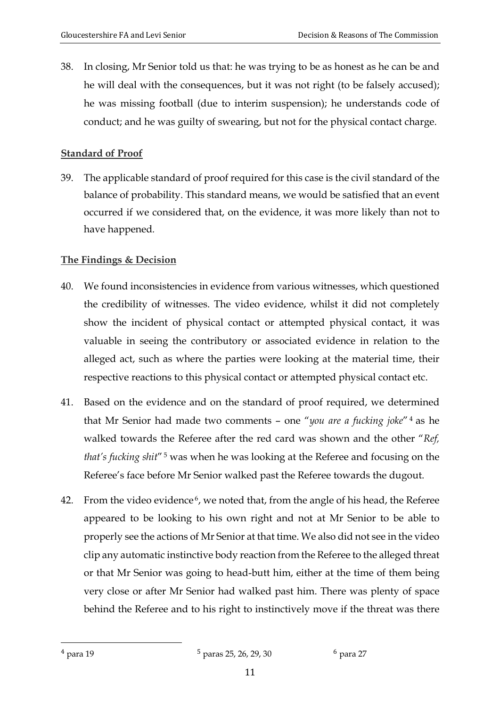38. In closing, Mr Senior told us that: he was trying to be as honest as he can be and he will deal with the consequences, but it was not right (to be falsely accused); he was missing football (due to interim suspension); he understands code of conduct; and he was guilty of swearing, but not for the physical contact charge.

## **Standard of Proof**

39. The applicable standard of proof required for this case is the civil standard of the balance of probability. This standard means, we would be satisfied that an event occurred if we considered that, on the evidence, it was more likely than not to have happened*.*

# **The Findings & Decision**

- 40. We found inconsistencies in evidence from various witnesses, which questioned the credibility of witnesses. The video evidence, whilst it did not completely show the incident of physical contact or attempted physical contact, it was valuable in seeing the contributory or associated evidence in relation to the alleged act, such as where the parties were looking at the material time, their respective reactions to this physical contact or attempted physical contact etc.
- 41. Based on the evidence and on the standard of proof required, we determined that Mr Senior had made two comments – one "*you are a fucking joke*" <sup>4</sup> as he walked towards the Referee after the red card was shown and the other "*Ref, that's fucking shit*" <sup>5</sup> was when he was looking at the Referee and focusing on the Referee's face before Mr Senior walked past the Referee towards the dugout.
- 42. From the video evidence<sup>6</sup>, we noted that, from the angle of his head, the Referee appeared to be looking to his own right and not at Mr Senior to be able to properly see the actions of Mr Senior at that time. We also did not see in the video clip any automatic instinctive body reaction from the Referee to the alleged threat or that Mr Senior was going to head-butt him, either at the time of them being very close or after Mr Senior had walked past him. There was plenty of space behind the Referee and to his right to instinctively move if the threat was there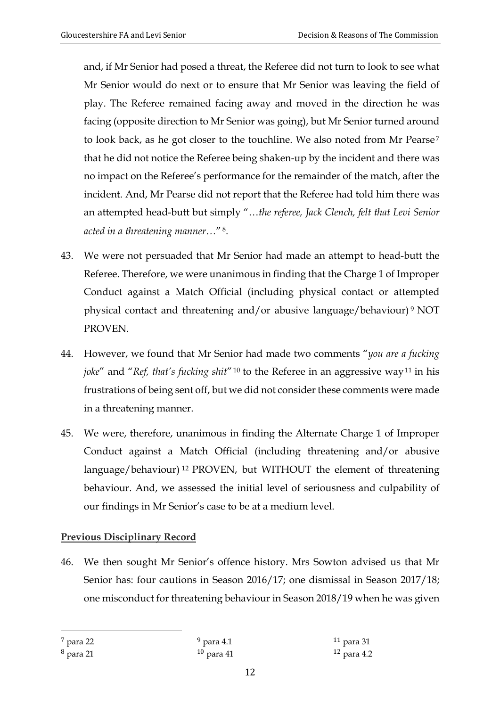and, if Mr Senior had posed a threat, the Referee did not turn to look to see what Mr Senior would do next or to ensure that Mr Senior was leaving the field of play. The Referee remained facing away and moved in the direction he was facing (opposite direction to Mr Senior was going), but Mr Senior turned around to look back, as he got closer to the touchline. We also noted from Mr Pearse<sup>7</sup> that he did not notice the Referee being shaken-up by the incident and there was no impact on the Referee's performance for the remainder of the match, after the incident. And, Mr Pearse did not report that the Referee had told him there was an attempted head-butt but simply "…*the referee, Jack Clench, felt that Levi Senior acted in a threatening manner…*" 8.

- 43. We were not persuaded that Mr Senior had made an attempt to head-butt the Referee. Therefore, we were unanimous in finding that the Charge 1 of Improper Conduct against a Match Official (including physical contact or attempted physical contact and threatening and/or abusive language/behaviour) <sup>9</sup> NOT PROVEN.
- 44. However, we found that Mr Senior had made two comments "*you are a fucking joke*" and "*Ref, that's fucking shit*"<sup>10</sup> to the Referee in an aggressive way<sup>11</sup> in his frustrations of being sent off, but we did not consider these comments were made in a threatening manner.
- 45. We were, therefore, unanimous in finding the Alternate Charge 1 of Improper Conduct against a Match Official (including threatening and/or abusive language/behaviour) <sup>12</sup> PROVEN, but WITHOUT the element of threatening behaviour. And, we assessed the initial level of seriousness and culpability of our findings in Mr Senior's case to be at a medium level.

# **Previous Disciplinary Record**

46. We then sought Mr Senior's offence history. Mrs Sowton advised us that Mr Senior has: four cautions in Season 2016/17; one dismissal in Season 2017/18; one misconduct for threatening behaviour in Season 2018/19 when he was given

<sup>7</sup> para 22

 $9$  para 4.1

<sup>8</sup> para 21

<sup>10</sup> para 41